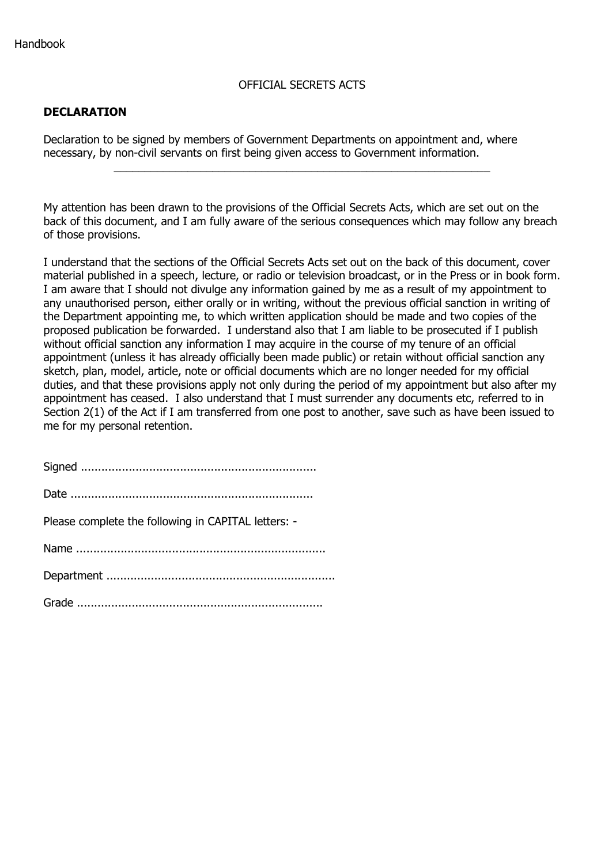## OFFICIAL SECRETS ACTS

## **DECLARATION**

Declaration to be signed by members of Government Departments on appointment and, where necessary, by non-civil servants on first being given access to Government information.

My attention has been drawn to the provisions of the Official Secrets Acts, which are set out on the back of this document, and I am fully aware of the serious consequences which may follow any breach of those provisions.

\_\_\_\_\_\_\_\_\_\_\_\_\_\_\_\_\_\_\_\_\_\_\_\_\_\_\_\_\_\_\_\_\_\_\_\_\_\_\_\_\_\_\_\_\_\_\_\_\_\_\_\_\_\_\_\_\_\_\_\_\_

I understand that the sections of the Official Secrets Acts set out on the back of this document, cover material published in a speech, lecture, or radio or television broadcast, or in the Press or in book form. I am aware that I should not divulge any information gained by me as a result of my appointment to any unauthorised person, either orally or in writing, without the previous official sanction in writing of the Department appointing me, to which written application should be made and two copies of the proposed publication be forwarded. I understand also that I am liable to be prosecuted if I publish without official sanction any information I may acquire in the course of my tenure of an official appointment (unless it has already officially been made public) or retain without official sanction any sketch, plan, model, article, note or official documents which are no longer needed for my official duties, and that these provisions apply not only during the period of my appointment but also after my appointment has ceased. I also understand that I must surrender any documents etc, referred to in Section 2(1) of the Act if I am transferred from one post to another, save such as have been issued to me for my personal retention.

| Please complete the following in CAPITAL letters: - |
|-----------------------------------------------------|
|                                                     |
|                                                     |
|                                                     |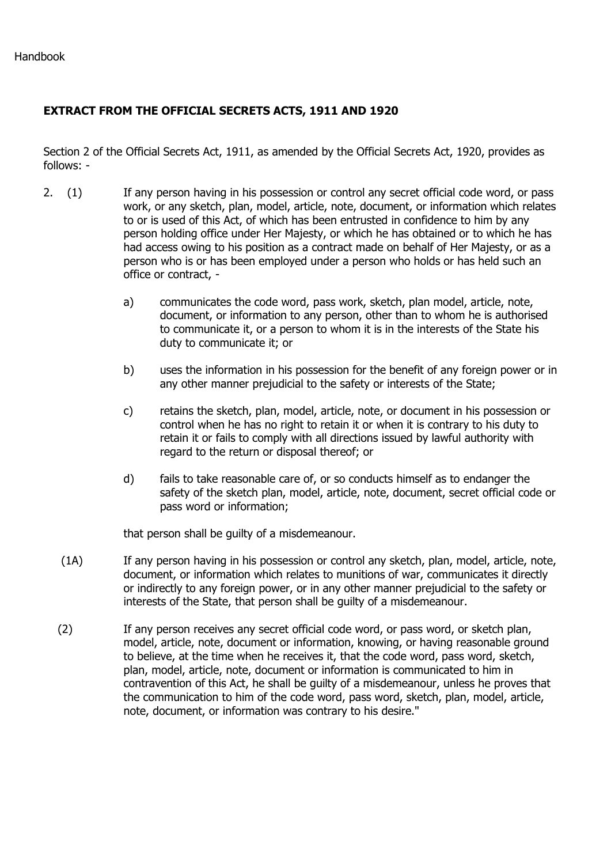## **EXTRACT FROM THE OFFICIAL SECRETS ACTS, 1911 AND 1920**

Section 2 of the Official Secrets Act, 1911, as amended by the Official Secrets Act, 1920, provides as follows: -

- 2. (1) If any person having in his possession or control any secret official code word, or pass work, or any sketch, plan, model, article, note, document, or information which relates to or is used of this Act, of which has been entrusted in confidence to him by any person holding office under Her Majesty, or which he has obtained or to which he has had access owing to his position as a contract made on behalf of Her Majesty, or as a person who is or has been employed under a person who holds or has held such an office or contract,
	- a) communicates the code word, pass work, sketch, plan model, article, note, document, or information to any person, other than to whom he is authorised to communicate it, or a person to whom it is in the interests of the State his duty to communicate it; or
	- b) uses the information in his possession for the benefit of any foreign power or in any other manner prejudicial to the safety or interests of the State;
	- c) retains the sketch, plan, model, article, note, or document in his possession or control when he has no right to retain it or when it is contrary to his duty to retain it or fails to comply with all directions issued by lawful authority with regard to the return or disposal thereof; or
	- d) fails to take reasonable care of, or so conducts himself as to endanger the safety of the sketch plan, model, article, note, document, secret official code or pass word or information;

that person shall be guilty of a misdemeanour.

- (1A) If any person having in his possession or control any sketch, plan, model, article, note, document, or information which relates to munitions of war, communicates it directly or indirectly to any foreign power, or in any other manner prejudicial to the safety or interests of the State, that person shall be guilty of a misdemeanour.
- (2) If any person receives any secret official code word, or pass word, or sketch plan, model, article, note, document or information, knowing, or having reasonable ground to believe, at the time when he receives it, that the code word, pass word, sketch, plan, model, article, note, document or information is communicated to him in contravention of this Act, he shall be guilty of a misdemeanour, unless he proves that the communication to him of the code word, pass word, sketch, plan, model, article, note, document, or information was contrary to his desire."